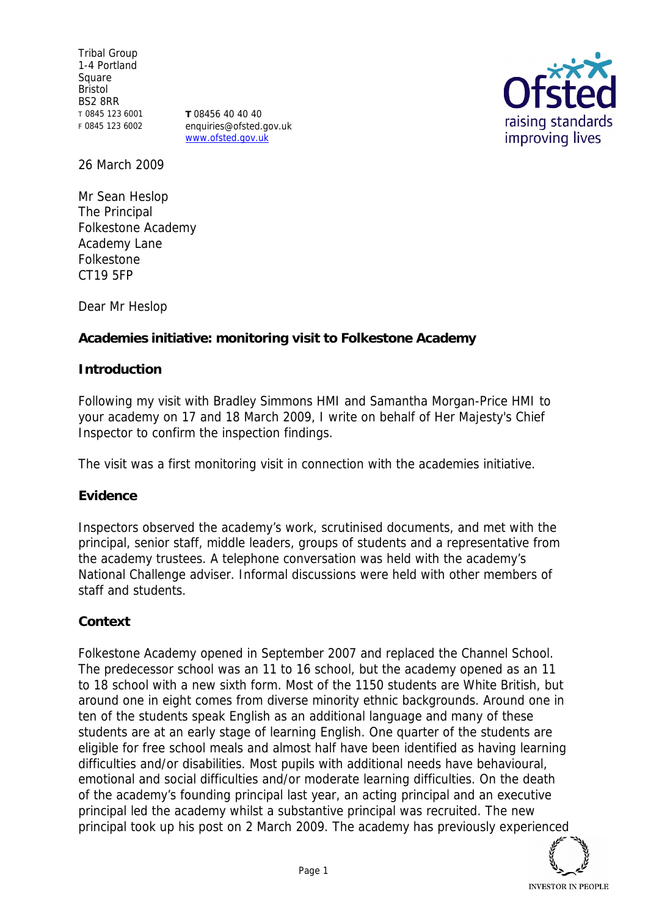Tribal Group 1-4 Portland Square Bristol BS2 8RR T 0845 123 6001 F 0845 123 6002

**T** 08456 40 40 40 enquiries@ofsted.gov.uk www.ofsted.gov.uk



26 March 2009

Mr Sean Heslop The Principal Folkestone Academy Academy Lane Folkestone CT19 5FP

Dear Mr Heslop

**Academies initiative: monitoring visit to Folkestone Academy**

### **Introduction**

Following my visit with Bradley Simmons HMI and Samantha Morgan-Price HMI to your academy on 17 and 18 March 2009, I write on behalf of Her Majesty's Chief Inspector to confirm the inspection findings.

The visit was a first monitoring visit in connection with the academies initiative.

#### **Evidence**

Inspectors observed the academy's work, scrutinised documents, and met with the principal, senior staff, middle leaders, groups of students and a representative from the academy trustees. A telephone conversation was held with the academy's National Challenge adviser. Informal discussions were held with other members of staff and students.

### **Context**

Folkestone Academy opened in September 2007 and replaced the Channel School. The predecessor school was an 11 to 16 school, but the academy opened as an 11 to 18 school with a new sixth form. Most of the 1150 students are White British, but around one in eight comes from diverse minority ethnic backgrounds. Around one in ten of the students speak English as an additional language and many of these students are at an early stage of learning English. One quarter of the students are eligible for free school meals and almost half have been identified as having learning difficulties and/or disabilities. Most pupils with additional needs have behavioural, emotional and social difficulties and/or moderate learning difficulties. On the death of the academy's founding principal last year, an acting principal and an executive principal led the academy whilst a substantive principal was recruited. The new principal took up his post on 2 March 2009. The academy has previously experienced

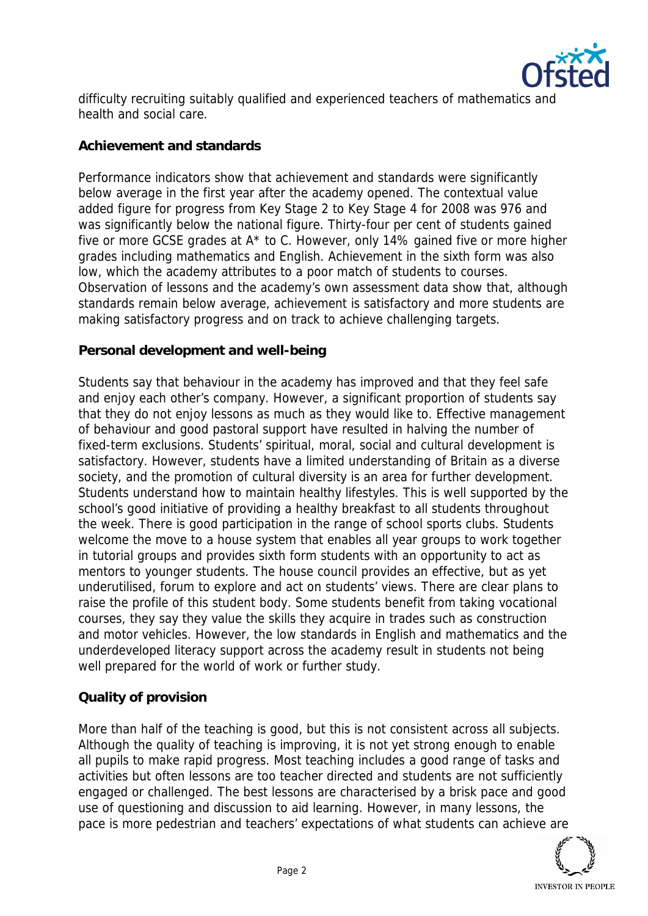

difficulty recruiting suitably qualified and experienced teachers of mathematics and health and social care.

# **Achievement and standards**

Performance indicators show that achievement and standards were significantly below average in the first year after the academy opened. The contextual value added figure for progress from Key Stage 2 to Key Stage 4 for 2008 was 976 and was significantly below the national figure. Thirty-four per cent of students gained five or more GCSE grades at A\* to C. However, only 14% gained five or more higher grades including mathematics and English. Achievement in the sixth form was also low, which the academy attributes to a poor match of students to courses. Observation of lessons and the academy's own assessment data show that, although standards remain below average, achievement is satisfactory and more students are making satisfactory progress and on track to achieve challenging targets.

## **Personal development and well-being**

Students say that behaviour in the academy has improved and that they feel safe and enjoy each other's company. However, a significant proportion of students say that they do not enjoy lessons as much as they would like to. Effective management of behaviour and good pastoral support have resulted in halving the number of fixed-term exclusions. Students' spiritual, moral, social and cultural development is satisfactory. However, students have a limited understanding of Britain as a diverse society, and the promotion of cultural diversity is an area for further development. Students understand how to maintain healthy lifestyles. This is well supported by the school's good initiative of providing a healthy breakfast to all students throughout the week. There is good participation in the range of school sports clubs. Students welcome the move to a house system that enables all year groups to work together in tutorial groups and provides sixth form students with an opportunity to act as mentors to younger students. The house council provides an effective, but as yet underutilised, forum to explore and act on students' views. There are clear plans to raise the profile of this student body. Some students benefit from taking vocational courses, they say they value the skills they acquire in trades such as construction and motor vehicles. However, the low standards in English and mathematics and the underdeveloped literacy support across the academy result in students not being well prepared for the world of work or further study.

### **Quality of provision**

More than half of the teaching is good, but this is not consistent across all subjects. Although the quality of teaching is improving, it is not yet strong enough to enable all pupils to make rapid progress. Most teaching includes a good range of tasks and activities but often lessons are too teacher directed and students are not sufficiently engaged or challenged. The best lessons are characterised by a brisk pace and good use of questioning and discussion to aid learning. However, in many lessons, the pace is more pedestrian and teachers' expectations of what students can achieve are

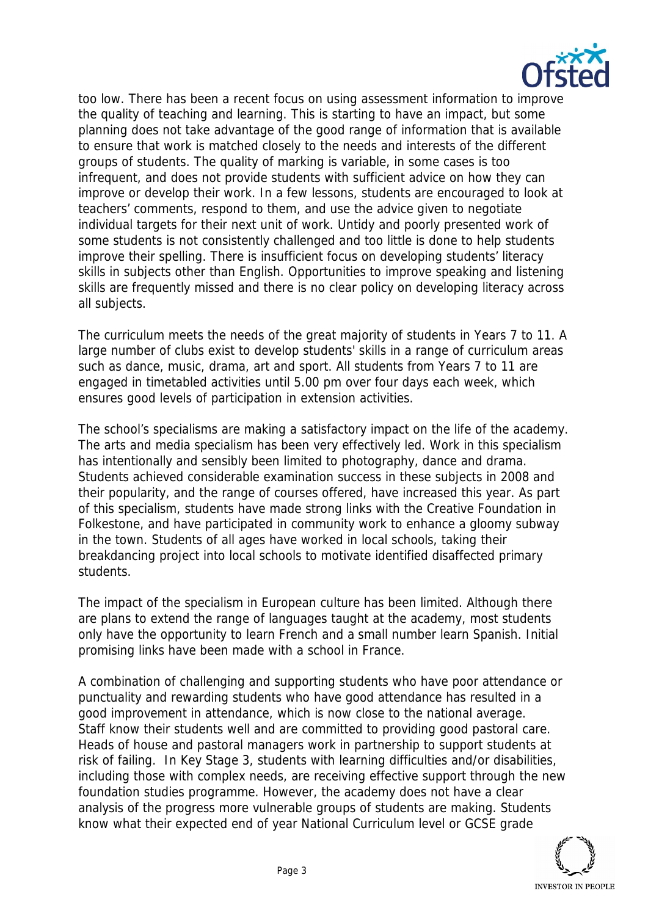

too low. There has been a recent focus on using assessment information to improve the quality of teaching and learning. This is starting to have an impact, but some planning does not take advantage of the good range of information that is available to ensure that work is matched closely to the needs and interests of the different groups of students. The quality of marking is variable, in some cases is too infrequent, and does not provide students with sufficient advice on how they can improve or develop their work. In a few lessons, students are encouraged to look at teachers' comments, respond to them, and use the advice given to negotiate individual targets for their next unit of work. Untidy and poorly presented work of some students is not consistently challenged and too little is done to help students improve their spelling. There is insufficient focus on developing students' literacy skills in subjects other than English. Opportunities to improve speaking and listening skills are frequently missed and there is no clear policy on developing literacy across all subjects.

The curriculum meets the needs of the great majority of students in Years 7 to 11. A large number of clubs exist to develop students' skills in a range of curriculum areas such as dance, music, drama, art and sport. All students from Years 7 to 11 are engaged in timetabled activities until 5.00 pm over four days each week, which ensures good levels of participation in extension activities.

The school's specialisms are making a satisfactory impact on the life of the academy. The arts and media specialism has been very effectively led. Work in this specialism has intentionally and sensibly been limited to photography, dance and drama. Students achieved considerable examination success in these subjects in 2008 and their popularity, and the range of courses offered, have increased this year. As part of this specialism, students have made strong links with the Creative Foundation in Folkestone, and have participated in community work to enhance a gloomy subway in the town. Students of all ages have worked in local schools, taking their breakdancing project into local schools to motivate identified disaffected primary students.

The impact of the specialism in European culture has been limited. Although there are plans to extend the range of languages taught at the academy, most students only have the opportunity to learn French and a small number learn Spanish. Initial promising links have been made with a school in France.

A combination of challenging and supporting students who have poor attendance or punctuality and rewarding students who have good attendance has resulted in a good improvement in attendance, which is now close to the national average. Staff know their students well and are committed to providing good pastoral care. Heads of house and pastoral managers work in partnership to support students at risk of failing. In Key Stage 3, students with learning difficulties and/or disabilities, including those with complex needs, are receiving effective support through the new foundation studies programme. However, the academy does not have a clear analysis of the progress more vulnerable groups of students are making. Students know what their expected end of year National Curriculum level or GCSE grade

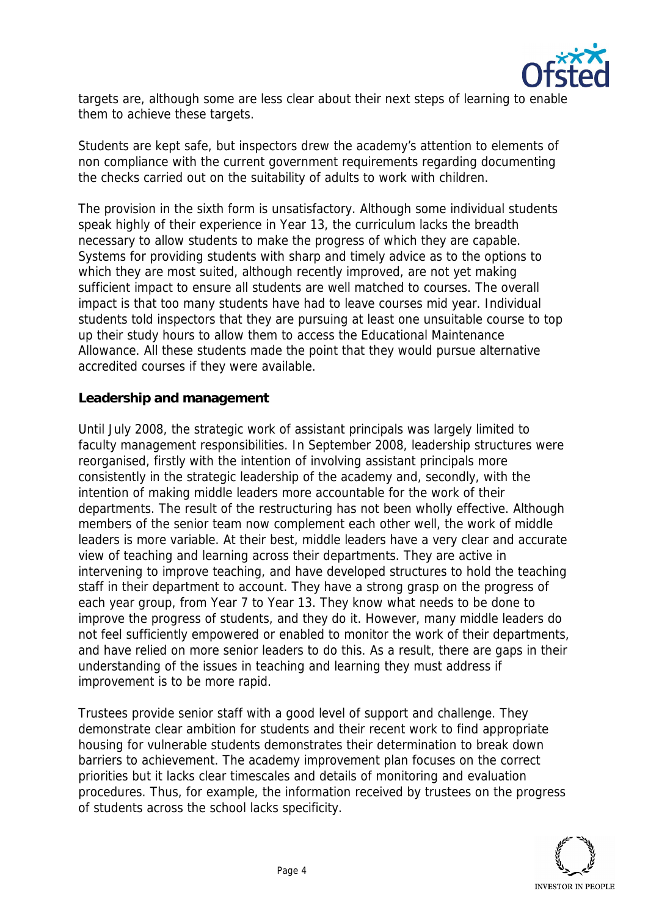

targets are, although some are less clear about their next steps of learning to enable them to achieve these targets.

Students are kept safe, but inspectors drew the academy's attention to elements of non compliance with the current government requirements regarding documenting the checks carried out on the suitability of adults to work with children.

The provision in the sixth form is unsatisfactory. Although some individual students speak highly of their experience in Year 13, the curriculum lacks the breadth necessary to allow students to make the progress of which they are capable. Systems for providing students with sharp and timely advice as to the options to which they are most suited, although recently improved, are not yet making sufficient impact to ensure all students are well matched to courses. The overall impact is that too many students have had to leave courses mid year. Individual students told inspectors that they are pursuing at least one unsuitable course to top up their study hours to allow them to access the Educational Maintenance Allowance. All these students made the point that they would pursue alternative accredited courses if they were available.

### **Leadership and management**

Until July 2008, the strategic work of assistant principals was largely limited to faculty management responsibilities. In September 2008, leadership structures were reorganised, firstly with the intention of involving assistant principals more consistently in the strategic leadership of the academy and, secondly, with the intention of making middle leaders more accountable for the work of their departments. The result of the restructuring has not been wholly effective. Although members of the senior team now complement each other well, the work of middle leaders is more variable. At their best, middle leaders have a very clear and accurate view of teaching and learning across their departments. They are active in intervening to improve teaching, and have developed structures to hold the teaching staff in their department to account. They have a strong grasp on the progress of each year group, from Year 7 to Year 13. They know what needs to be done to improve the progress of students, and they do it. However, many middle leaders do not feel sufficiently empowered or enabled to monitor the work of their departments, and have relied on more senior leaders to do this. As a result, there are gaps in their understanding of the issues in teaching and learning they must address if improvement is to be more rapid.

Trustees provide senior staff with a good level of support and challenge. They demonstrate clear ambition for students and their recent work to find appropriate housing for vulnerable students demonstrates their determination to break down barriers to achievement. The academy improvement plan focuses on the correct priorities but it lacks clear timescales and details of monitoring and evaluation procedures. Thus, for example, the information received by trustees on the progress of students across the school lacks specificity.